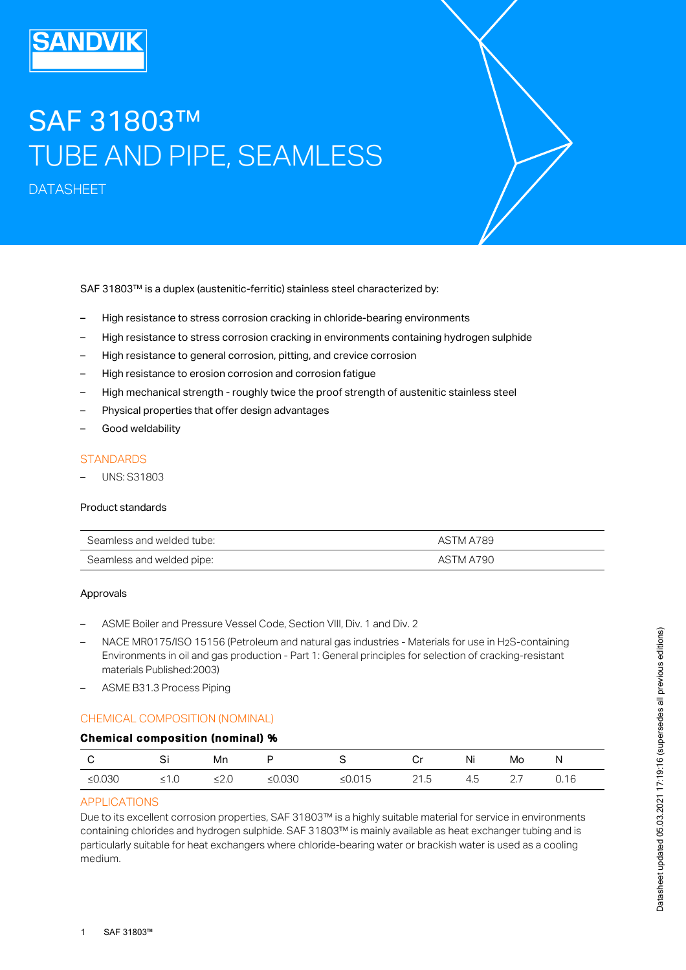# SAF 31803™ TUBE AND PIPE, SEAMLESS

DATASHEET

SAF 31803™ is a duplex (austenitic-ferritic) stainless steel characterized by:

- High resistance to stress corrosion cracking in chloride-bearing environments
- High resistance to stress corrosion cracking in environments containing hydrogen sulphide
- High resistance to general corrosion, pitting, and crevice corrosion
- High resistance to erosion corrosion and corrosion fatigue
- High mechanical strength roughly twice the proof strength of austenitic stainless steel
- Physical properties that offer design advantages
- Good weldability

## **STANDARDS**

– UNS: S31803

#### Product standards

| Seamless and welded tube: | ASTM A789 |
|---------------------------|-----------|
| Seamless and welded pipe: | ASTM A790 |

#### Approvals

- ASME Boiler and Pressure Vessel Code, Section VIII, Div. 1 and Div. 2
- $-$  NACE MR0175/ISO 15156 (Petroleum and natural gas industries Materials for use in H2S-containing Environments in oil and gas production - Part 1: General principles for selection of cracking-resistant materials Published:2003)
- ASME B31.3 Process Piping

## CHEMICAL COMPOSITION (NOMINAL)

## Chemical composition (nominal) %

|           | Si   | Mn      |           |           | Cr   | Ni  | Mo       |      |
|-----------|------|---------|-----------|-----------|------|-----|----------|------|
| ≤ $0.030$ | ≤1.0 | ≤ $2.0$ | ≤ $0.030$ | ≤ $0.015$ | 21.5 | 4.5 | <u>.</u> | 0.16 |

#### APPLICATIONS

Due to its excellent corrosion properties, SAF 31803™ is a highly suitable material for service in environments containing chlorides and hydrogen sulphide. SAF 31803™ is mainly available as heat exchanger tubing and is particularly suitable for heat exchangers where chloride-bearing water or brackish water is used as a cooling medium.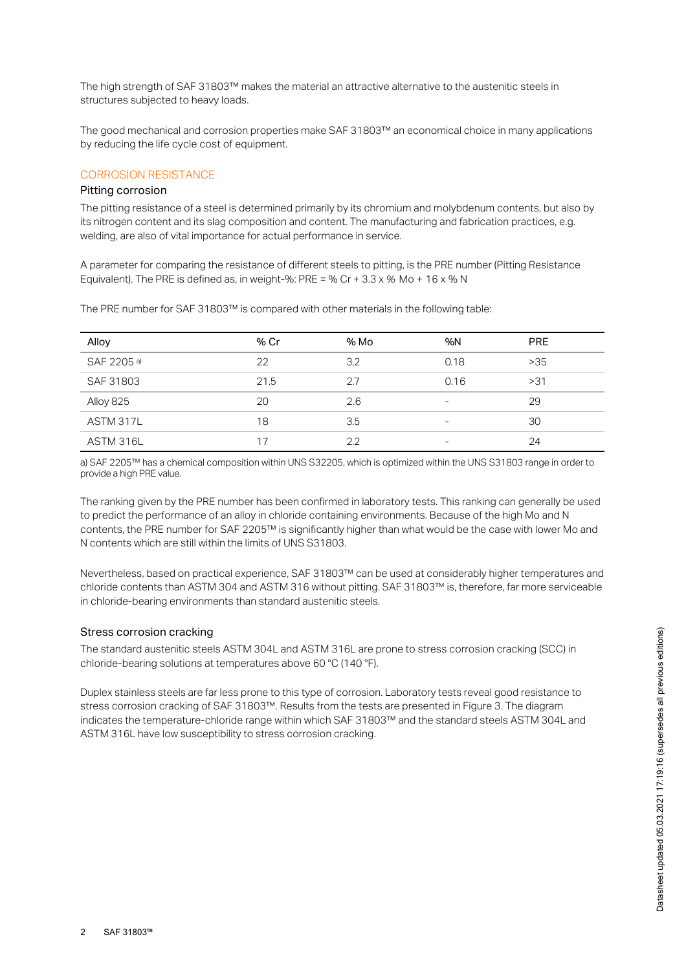The high strength of SAF 31803™ makes the material an attractive alternative to the austenitic steels in structures subjected to heavy loads.

The good mechanical and corrosion properties make SAF 31803™ an economical choice in many applications by reducing the life cycle cost of equipment.

### CORROSION RESISTANCE

#### Pitting corrosion

The pitting resistance of a steel is determined primarily by its chromium and molybdenum contents, but also by its nitrogen content and its slag composition and content. The manufacturing and fabrication practices, e.g. welding, are also of vital importance for actual performance in service.

A parameter for comparing the resistance of different steels to pitting, is the PRE number (Pitting Resistance Equivalent). The PRE is defined as, in weight-%: PRE = % Cr + 3.3 x *%* Mo + 16 x % N

The PRE number for SAF 31803™ is compared with other materials in the following table:

| Alloy       | % Cr | % Mo | %N   | <b>PRE</b> |
|-------------|------|------|------|------------|
| SAF 2205 a) | 22   | 3.2  | 0.18 | >35        |
| SAF 31803   | 21.5 | 2.7  | 0.16 | >31        |
| Alloy 825   | 20   | 2.6  | -    | 29         |
| ASTM 317L   | 18   | 3.5  | -    | 30         |
| ASTM 316L   |      | 2.2  | -    | 24         |

a) SAF 2205™ has a chemical composition within UNS S32205, which is optimized within the UNS S31803 range in order to provide a high PRE value.

The ranking given by the PRE number has been confirmed in laboratory tests. This ranking can generally be used to predict the performance of an alloy in chloride containing environments. Because of the high Mo and N contents, the PRE number for SAF 2205™ is significantly higher than what would be the case with lower Mo and N contents which are still within the limits of UNS S31803.

Nevertheless, based on practical experience, SAF 31803™ can be used at considerably higher temperatures and chloride contents than ASTM 304 and ASTM 316 without pitting. SAF 31803™ is, therefore, far more serviceable in chloride-bearing environments than standard austenitic steels.

#### Stress corrosion cracking

The standard austenitic steels ASTM 304L and ASTM 316L are prone to stress corrosion cracking (SCC) in chloride-bearing solutions at temperatures above 60 °C (140 °F).

Duplex stainless steels are far less prone to this type of corrosion. Laboratory tests reveal good resistance to stress corrosion cracking of SAF 31803™. Results from the tests are presented in Figure 3. The diagram indicates the temperature-chloride range within which SAF 31803™ and the standard steels ASTM 304L and ASTM 316L have low susceptibility to stress corrosion cracking.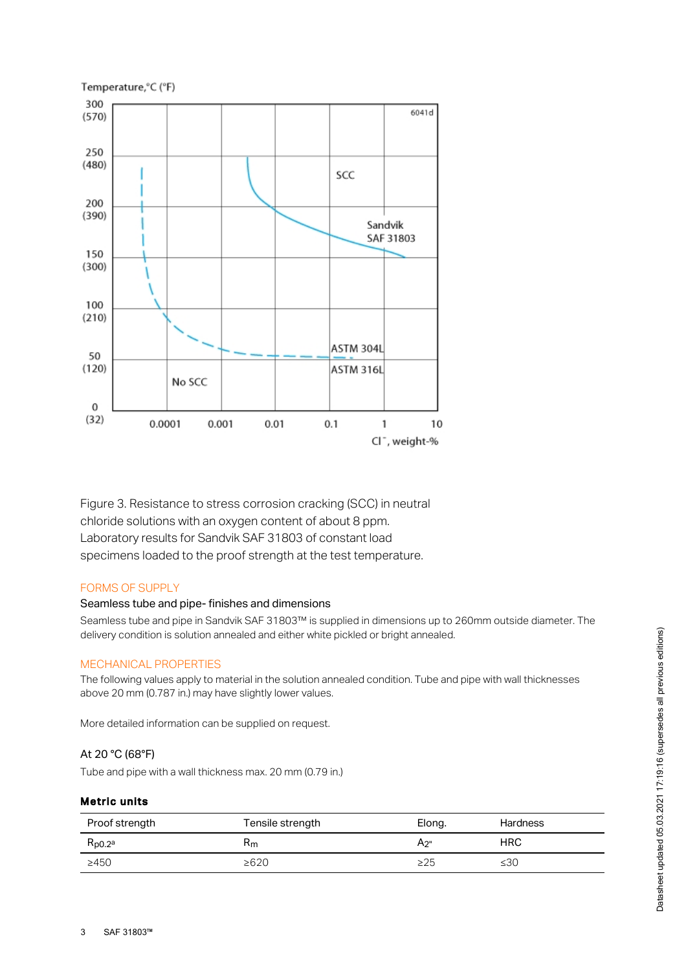

Figure 3. Resistance to stress corrosion cracking (SCC) in neutral chloride solutions with an oxygen content of about 8 ppm. Laboratory results for Sandvik SAF 31803 of constant load specimens loaded to the proof strength at the test temperature.

# FORMS OF SUPPLY

#### Seamless tube and pipe- finishes and dimensions

Seamless tube and pipe in Sandvik SAF 31803™ is supplied in dimensions up to 260mm outside diameter. The delivery condition is solution annealed and either white pickled or bright annealed.

#### MECHANICAL PROPERTIES

The following values apply to material in the solution annealed condition. Tube and pipe with wall thicknesses above 20 mm (0.787 in.) may have slightly lower values.

More detailed information can be supplied on request.

## At 20 °C (68°F)

Tube and pipe with a wall thickness max. 20 mm (0.79 in.)

#### Metric units

| Proof strength     | Tensile strength | Elong.    | <b>Hardness</b> |
|--------------------|------------------|-----------|-----------------|
| Rp0.2 <sup>a</sup> | Rm               | A2"       | <b>HRC</b>      |
| >450               | $\geq 620$       | $\geq$ 25 | ≤30             |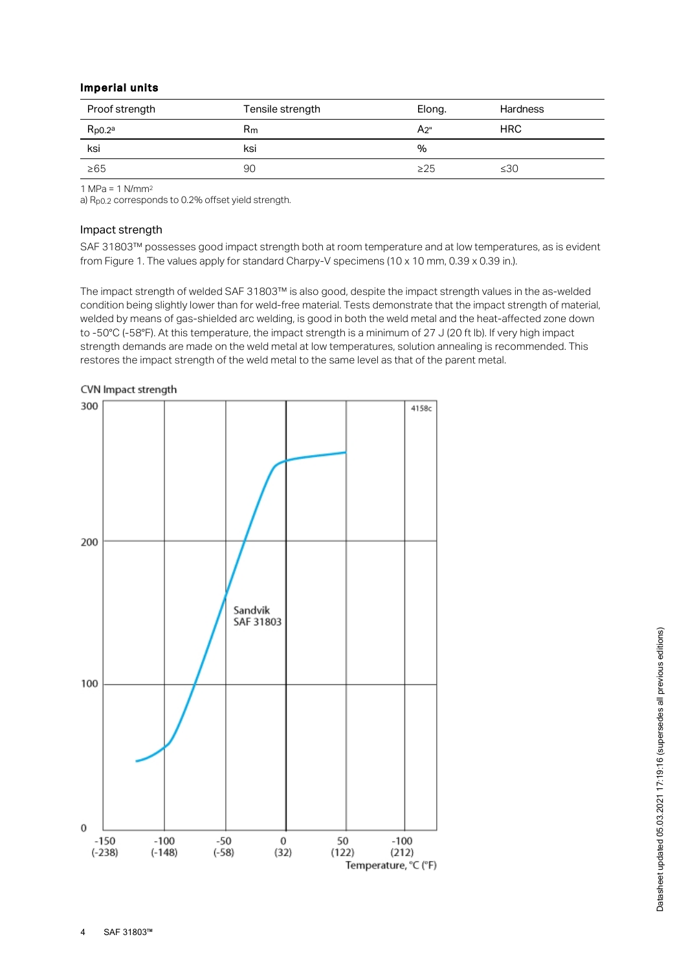## Imperial units

| Proof strength     | Tensile strength | Elong.    | <b>Hardness</b> |
|--------------------|------------------|-----------|-----------------|
| Rp0.2 <sup>a</sup> | $R_{m}$          | А2"       | <b>HRC</b>      |
| ksi                | ksi              | %         |                 |
| $\geq 65$          | 90               | $\geq$ 25 | $\leq 30$       |

1 MPa = 1 N/mm 2

a) R<sub>p0.2</sub> corresponds to 0.2% offset yield strength.

#### Impact strength

SAF 31803™ possesses good impact strength both at room temperature and at low temperatures, as is evident from Figure 1. The values apply for standard Charpy-V specimens (10 x 10 mm, 0.39 x 0.39 in.).

The impact strength of welded SAF 31803™ is also good, despite the impact strength values in the as-welded condition being slightly lower than for weld-free material. Tests demonstrate that the impact strength of material, welded by means of gas-shielded arc welding, is good in both the weld metal and the heat-affected zone down to -50°C (-58°F). At this temperature, the impact strength is a minimum of 27 J (20 ft lb). If very high impact strength demands are made on the weld metal at low temperatures, solution annealing is recommended. This restores the impact strength of the weld metal to the same level as that of the parent metal.

4158c

 $-100$ 

 $(212)$ Temperature, °C (°F)



 $\theta$ 

 $-150$ 

 $(-238)$ 

 $-100$ 

 $(-148)$ 

 $-50$ 

 $(-58)$ 

 $\mathbf{0}$ 

 $(32)$ 

50

 $(122)$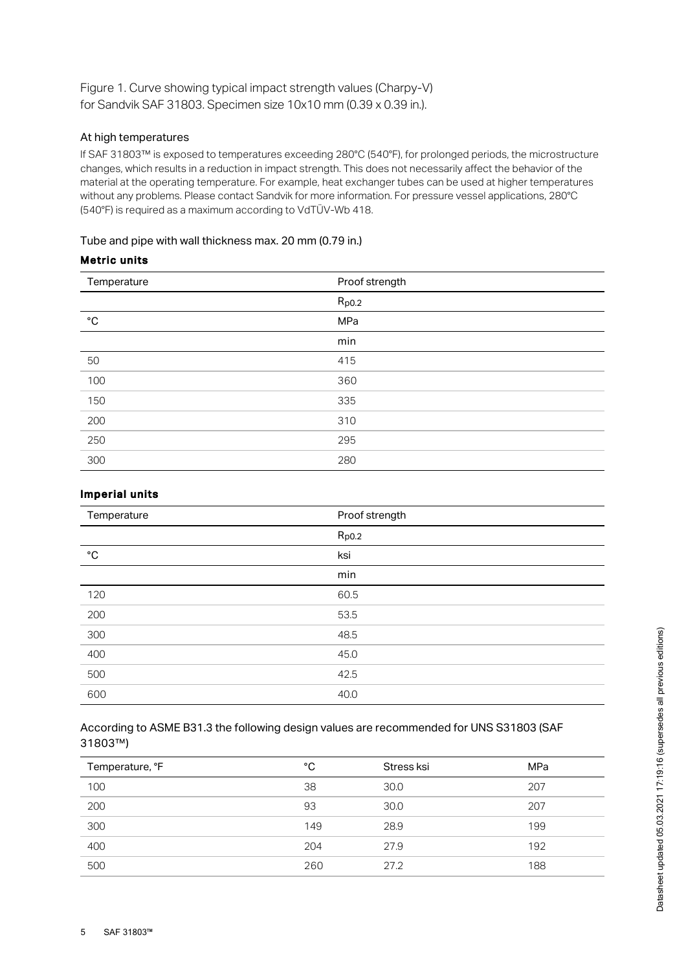Figure 1. Curve showing typical impact strength values (Charpy-V) for Sandvik SAF 31803. Specimen size 10x10 mm (0.39 x 0.39 in.).

## At high temperatures

If SAF 31803™ is exposed to temperatures exceeding 280°C (540°F), for prolonged periods, the microstructure changes, which results in a reduction in impact strength. This does not necessarily affect the behavior of the material at the operating temperature. For example, heat exchanger tubes can be used at higher temperatures without any problems. Please contact Sandvik for more information. For pressure vessel applications, 280°C (540°F) is required as a maximum according to VdTÜV-Wb 418.

## Tube and pipe with wall thickness max. 20 mm (0.79 in.)

## Metric units

| Temperature  | Proof strength |  |
|--------------|----------------|--|
|              | $R_{p0.2}$     |  |
| $^{\circ}$ C | MPa            |  |
|              | min            |  |
| 50           | 415            |  |
| 100          | 360            |  |
| 150          | 335            |  |
| 200          | 310            |  |
| 250          | 295            |  |
| 300          | 280            |  |

# Imperial units

| Temperature  | Proof strength |
|--------------|----------------|
|              | $R_{p0.2}$     |
| $^{\circ}$ C | ksi            |
|              | min            |
| 120          | 60.5           |
| 200          | 53.5           |
| 300          | 48.5           |
| 400          | 45.0           |
| 500          | 42.5           |
| 600          | 40.0           |

## According to ASME B31.3 the following design values are recommended for UNS S31803 (SAF 31803™)

| Temperature, °F | °C  | Stress ksi | <b>MPa</b> |
|-----------------|-----|------------|------------|
| 100             | 38  | 30.0       | 207        |
| 200             | 93  | 30.0       | 207        |
| 300             | 149 | 28.9       | 199        |
| 400             | 204 | 27.9       | 192        |
| 500             | 260 | 27.2       | 188        |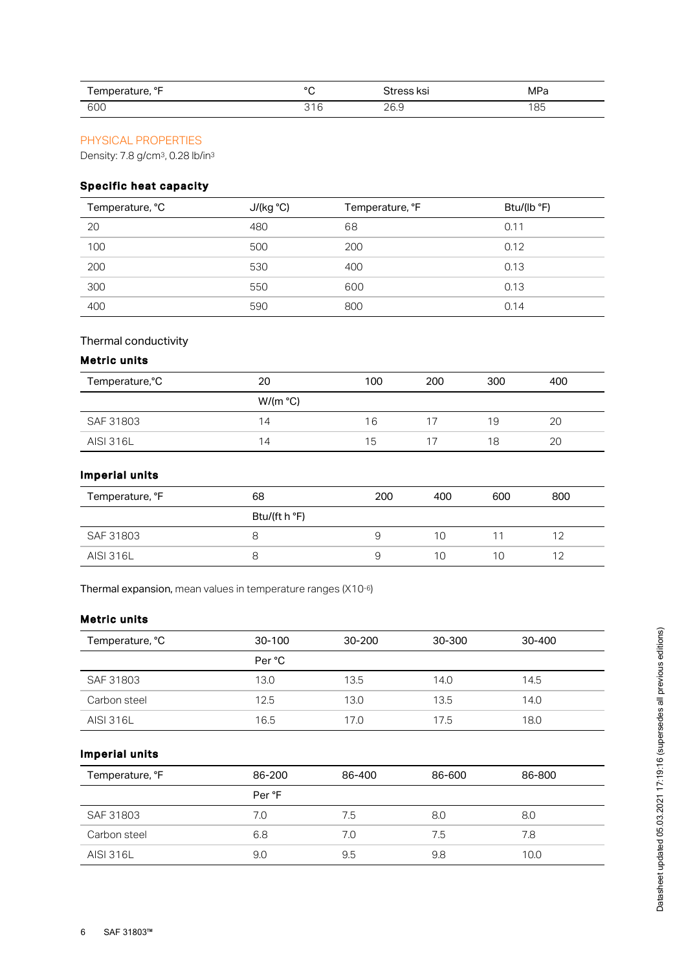| Temperature, °F | $\circ$                               | Stress ksi          | MPa |
|-----------------|---------------------------------------|---------------------|-----|
| 600             | $\sim$<br>$\sqrt{2}$<br><br>ت∨<br>ا ب | ne n<br>∼<br>ں کے ب | 85  |

# PHYSICAL PROPERTIES

Density: 7.8 g/cm<sup>3</sup>, 0.28 lb/in<sup>3</sup>

# Specific heat capacity

| Temperature, °C | J/(kg °C) | Temperature, °F | Btu/(lb °F) |
|-----------------|-----------|-----------------|-------------|
| 20              | 480       | 68              | 0.11        |
| 100             | 500       | 200             | 0.12        |
| 200             | 530       | 400             | 0.13        |
| 300             | 550       | 600             | 0.13        |
| 400             | 590       | 800             | 0.14        |

# Thermal conductivity

# Metric units

| Temperature, °C  | 20               | 100 | 200 | 300 | 400 |  |
|------------------|------------------|-----|-----|-----|-----|--|
|                  | $W/(m^{\circ}C)$ |     |     |     |     |  |
| SAF 31803        | 14               | 16  | 17  | 19  | 20  |  |
| <b>AISI 316L</b> | 14               | 15  | 17  | 18  | 20  |  |

# Imperial units

| Temperature, °F  | 68            | 200 | 400 | 600 | 800 |
|------------------|---------------|-----|-----|-----|-----|
|                  | Btu/(ft h °F) |     |     |     |     |
| SAF 31803        |               | Ч   | 10  |     | 12  |
| <b>AISI 316L</b> |               | 9   | 10  | 10  | 12  |

Thermal expansion, mean values in temperature ranges  $(X10<sup>-6</sup>)$ 

## Metric units

| Temperature, °C  | 30-100 | $30 - 200$ | 30-300 | 30-400 |
|------------------|--------|------------|--------|--------|
|                  | Per °C |            |        |        |
| SAF 31803        | 13.0   | 13.5       | 14.0   | 14.5   |
| Carbon steel     | 12.5   | 13.0       | 13.5   | 14.0   |
| <b>AISI 316L</b> | 16.5   | 17.0       | 17.5   | 18.0   |

# Imperial units

| Temperature, °F | 86-200 | 86-400 | 86-600 | 86-800 |
|-----------------|--------|--------|--------|--------|
|                 | Per °F |        |        |        |
| SAF 31803       | 7.0    | 7.5    | 8.0    | 8.0    |
| Carbon steel    | 6.8    | 7.0    | 7.5    | 7.8    |
| AISI 316L       | 9.0    | 9.5    | 9.8    | 10.0   |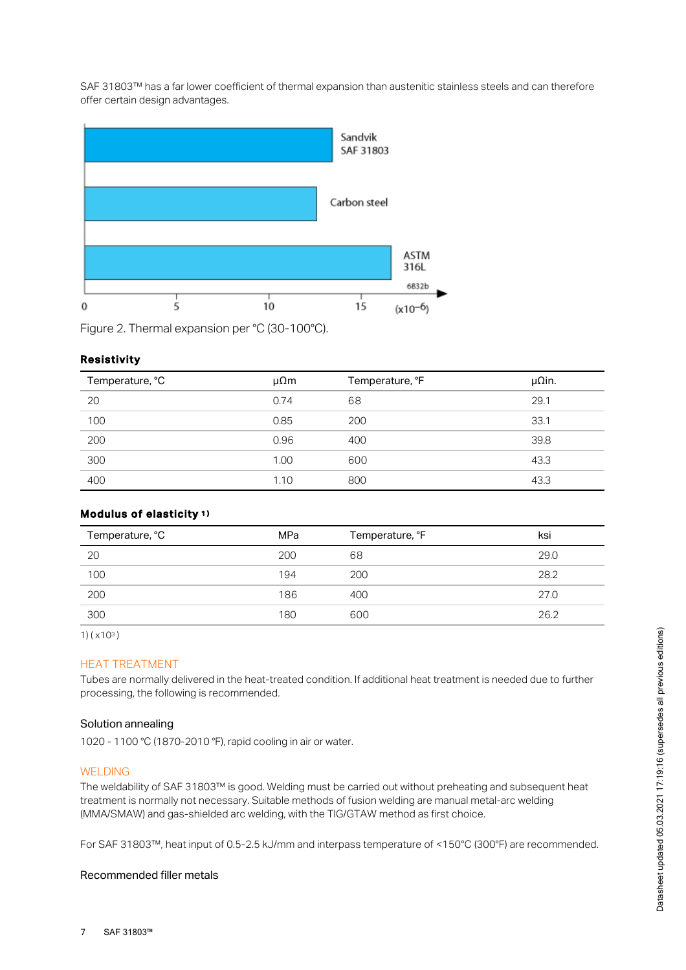SAF 31803™ has a far lower coefficient of thermal expansion than austenitic stainless steels and can therefore offer certain design advantages.



Figure 2. Thermal expansion per °C (30-100°C).

#### Resistivity

| Temperature, °C | $\mu\Omega$ m | Temperature, °F | $\mu$ Qin. |
|-----------------|---------------|-----------------|------------|
| 20              | 0.74          | 68              | 29.1       |
| 100             | 0.85          | 200             | 33.1       |
| 200             | 0.96          | 400             | 39.8       |
| 300             | 1.00          | 600             | 43.3       |
| 400             | 1.10          | 800             | 43.3       |

## Modulus of elasticity 1 )

| Temperature, °C | MPa | Temperature, °F | ksi  |
|-----------------|-----|-----------------|------|
| 20              | 200 | 68              | 29.0 |
| 100             | 194 | 200             | 28.2 |
| 200             | 186 | 400             | 27.0 |
| 300             | 180 | 600             | 26.2 |

1) (x10<sup>3</sup>)

## HEAT TREATMENT

Tubes are normally delivered in the heat-treated condition. If additional heat treatment is needed due to further processing, the following is recommended.

## Solution annealing

1020 - 1100 °C (1870-2010 °F), rapid cooling in air or water.

#### WELDING

The weldability of SAF 31803™ is good. Welding must be carried out without preheating and subsequent heat treatment is normally not necessary. Suitable methods of fusion welding are manual metal-arc welding (MMA/SMAW) and gas-shielded arc welding, with the TIG/GTAW method as first choice.

For SAF 31803™, heat input of 0.5-2.5 kJ/mm and interpass temperature of <150°C (300°F) are recommended.

### Recommended filler metals